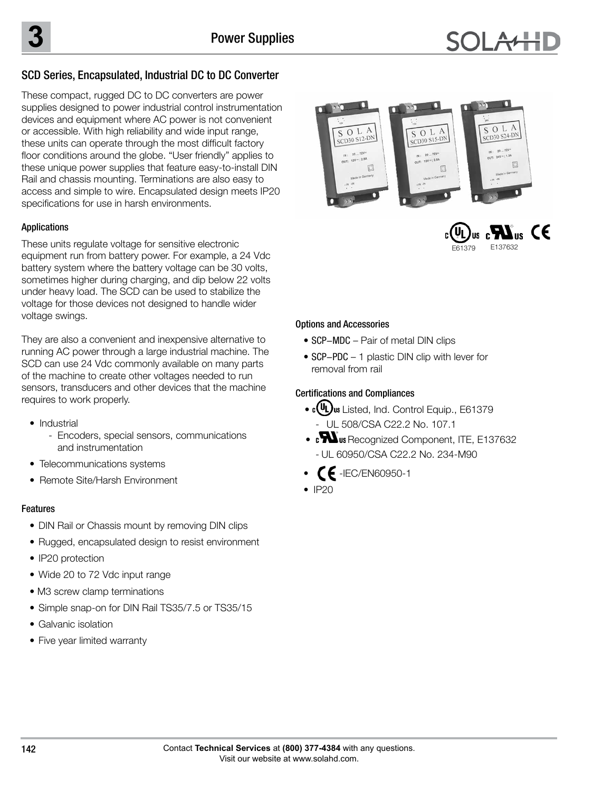## SCD Series, Encapsulated, Industrial DC to DC Converter

These compact, rugged DC to DC converters are power supplies designed to power industrial control instrumentation devices and equipment where AC power is not convenient or accessible. With high reliability and wide input range, these units can operate through the most difficult factory floor conditions around the globe. "User friendly" applies to these unique power supplies that feature easy-to-install DIN Rail and chassis mounting. Terminations are also easy to access and simple to wire. Encapsulated design meets IP20 specifications for use in harsh environments.

### Applications

These units regulate voltage for sensitive electronic equipment run from battery power. For example, a 24 Vdc battery system where the battery voltage can be 30 volts, sometimes higher during charging, and dip below 22 volts under heavy load. The SCD can be used to stabilize the voltage for those devices not designed to handle wider voltage swings.

They are also a convenient and inexpensive alternative to running AC power through a large industrial machine. The SCD can use 24 Vdc commonly available on many parts of the machine to create other voltages needed to run sensors, transducers and other devices that the machine requires to work properly.

- Industrial
	- Encoders, special sensors, communications and instrumentation
- Telecommunications systems
- Remote Site/Harsh Environment

### Features

- DIN Rail or Chassis mount by removing DIN clips
- Rugged, encapsulated design to resist environment
- IP20 protection
- Wide 20 to 72 Vdc input range
- M3 screw clamp terminations
- Simple snap-on for DIN Rail TS35/7.5 or TS35/15
- Galvanic isolation
- Five year limited warranty





#### Options and Accessories

- SCP-MDC Pair of metal DIN clips
- SCP-PDC 1 plastic DIN clip with lever for removal from rail

### Certifications and Compliances

- CUL) us Listed, Ind. Control Equip., E61379 - UL 508/CSA C22.2 No. 107.1
- **cWus** Recognized Component, ITE, E137632 **E137632 CUL/CSA-C22.2** - UL 60950/CSA C22.2 No. 234-M90
- -IEC/EN60950-1
- $\bullet$  IP20

**No. 234-M90**